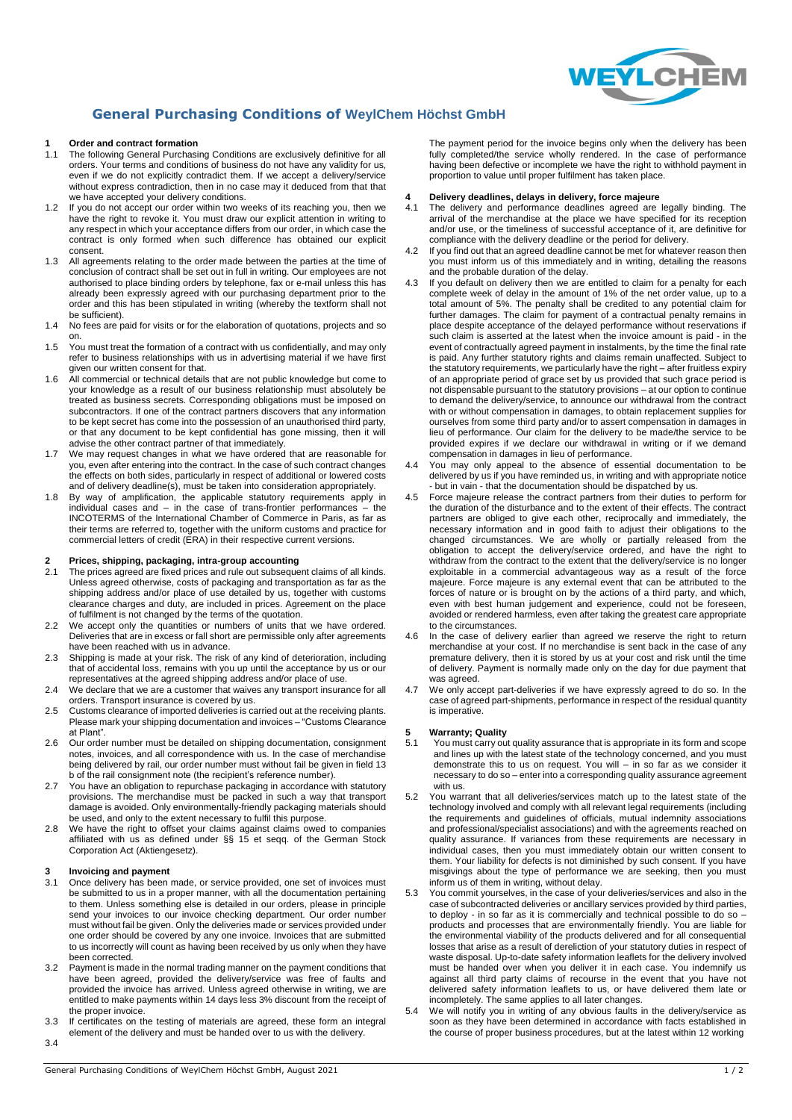

#### **General Purchasing Conditions of WeylChem Höchst GmbH**

### **1 Order and contract formation**<br>**1.1** The following General Purchasi

- The following General Purchasing Conditions are exclusively definitive for all orders. Your terms and conditions of business do not have any validity for us, even if we do not explicitly contradict them. If we accept a delivery/service without express contradiction, then in no case may it deduced from that that we have accepted your delivery conditions.
- 1.2 If you do not accept our order within two weeks of its reaching you, then we have the right to revoke it. You must draw our explicit attention in writing to any respect in which your acceptance differs from our order, in which case the contract is only formed when such difference has obtained our explicit consent.
- All agreements relating to the order made between the parties at the time of conclusion of contract shall be set out in full in writing. Our employees are not authorised to place binding orders by telephone, fax or e-mail unless this has already been expressly agreed with our purchasing department prior to the order and this has been stipulated in writing (whereby the textform shall not be sufficient).
- 1.4 No fees are paid for visits or for the elaboration of quotations, projects and so on.
- 1.5 You must treat the formation of a contract with us confidentially, and may only refer to business relationships with us in advertising material if we have first given our written consent for that.
- 1.6 All commercial or technical details that are not public knowledge but come to your knowledge as a result of our business relationship must absolutely be treated as business secrets. Corresponding obligations must be imposed on subcontractors. If one of the contract partners discovers that any information to be kept secret has come into the possession of an unauthorised third party, or that any document to be kept confidential has gone missing, then it will advise the other contract partner of that immediately.
- 1.7 We may request changes in what we have ordered that are reasonable for you, even after entering into the contract. In the case of such contract changes the effects on both sides, particularly in respect of additional or lowered costs and of delivery deadline(s), must be taken into consideration appropriately.
- 1.8 By way of amplification, the applicable statutory requirements apply in  $individual$  cases and  $-$  in the case of trans-frontier performances INCOTERMS of the International Chamber of Commerce in Paris, as far as their terms are referred to, together with the uniform customs and practice for commercial letters of credit (ERA) in their respective current versions.

#### **2 Prices, shipping, packaging, intra-group accounting**

- The prices agreed are fixed prices and rule out subsequent claims of all kinds. Unless agreed otherwise, costs of packaging and transportation as far as the shipping address and/or place of use detailed by us, together with customs clearance charges and duty, are included in prices. Agreement on the place of fulfilment is not changed by the terms of the quotation.
- 2.2 We accept only the quantities or numbers of units that we have ordered. Deliveries that are in excess or fall short are permissible only after agreements have been reached with us in advance.
- 2.3 Shipping is made at your risk. The risk of any kind of deterioration, including that of accidental loss, remains with you up until the acceptance by us or our representatives at the agreed shipping address and/or place of use.
- 2.4 We declare that we are a customer that waives any transport insurance for all orders. Transport insurance is covered by us.
- 2.5 Customs clearance of imported deliveries is carried out at the receiving plants. Please mark your shipping documentation and invoices – "Customs Clearance at Plant".
- 2.6 Our order number must be detailed on shipping documentation, consignment notes, invoices, and all correspondence with us. In the case of merchandise being delivered by rail, our order number must without fail be given in field 13 b of the rail consignment note (the recipient's reference number).
- 2.7 You have an obligation to repurchase packaging in accordance with statutory provisions. The merchandise must be packed in such a way that transport damage is avoided. Only environmentally-friendly packaging materials should be used, and only to the extent necessary to fulfil this purpose.
- 2.8 We have the right to offset your claims against claims owed to companies affiliated with us as defined under §§ 15 et seqq. of the German Stock Corporation Act (Aktiengesetz).

#### **3 Invoicing and payment**<br>**3.1** Once delivery has been

- Once delivery has been made, or service provided, one set of invoices must be submitted to us in a proper manner, with all the documentation pertaining to them. Unless something else is detailed in our orders, please in principle send your invoices to our invoice checking department. Our order number must without fail be given. Only the deliveries made or services provided under one order should be covered by any one invoice. Invoices that are submitted to us incorrectly will count as having been received by us only when they have been corrected.
- 3.2 Payment is made in the normal trading manner on the payment conditions that have been agreed, provided the delivery/service was free of faults and provided the invoice has arrived. Unless agreed otherwise in writing, we are entitled to make payments within 14 days less 3% discount from the receipt of the proper invoice
- 3.3 If certificates on the testing of materials are agreed, these form an integral
- element of the delivery and must be handed over to us with the delivery. 3.4

The payment period for the invoice begins only when the delivery has been fully completed/the service wholly rendered. In the case of performance having been defective or incomplete we have the right to withhold payment in proportion to value until proper fulfilment has taken place.

# **4 Delivery deadlines, delays in delivery, force majeure**

- The delivery and performance deadlines agreed are legally binding. The arrival of the merchandise at the place we have specified for its reception and/or use, or the timeliness of successful acceptance of it, are definitive for compliance with the delivery deadline or the period for delivery.
- 4.2 If you find out that an agreed deadline cannot be met for whatever reason then you must inform us of this immediately and in writing, detailing the reasons and the probable duration of the delay.
- 4.3 If you default on delivery then we are entitled to claim for a penalty for each complete week of delay in the amount of 1% of the net order value, up to a total amount of 5%. The penalty shall be credited to any potential claim for further damages. The claim for payment of a contractual penalty remains in place despite acceptance of the delayed performance without reservations if such claim is asserted at the latest when the invoice amount is paid - in the event of contractually agreed payment in instalments, by the time the final rate is paid. Any further statutory rights and claims remain unaffected. Subject to the statutory requirements, we particularly have the right – after fruitless expiry of an appropriate period of grace set by us provided that such grace period is not dispensable pursuant to the statutory provisions – at our option to continue to demand the delivery/service, to announce our withdrawal from the contract with or without compensation in damages, to obtain replacement supplies for ourselves from some third party and/or to assert compensation in damages in lieu of performance. Our claim for the delivery to be made/the service to be provided expires if we declare our withdrawal in writing or if we demand compensation in damages in lieu of performance.
- 4.4 You may only appeal to the absence of essential documentation to be delivered by us if you have reminded us, in writing and with appropriate notice - but in vain - that the documentation should be dispatched by us.
- 4.5 Force majeure release the contract partners from their duties to perform for the duration of the disturbance and to the extent of their effects. The contract partners are obliged to give each other, reciprocally and immediately, the necessary information and in good faith to adjust their obligations to the changed circumstances. We are wholly or partially released from the obligation to accept the delivery/service ordered, and have the right to withdraw from the contract to the extent that the delivery/service is no longer exploitable in a commercial advantageous way as a result of the force majeure. Force majeure is any external event that can be attributed to the forces of nature or is brought on by the actions of a third party, and which, even with best human judgement and experience, could not be foreseen, avoided or rendered harmless, even after taking the greatest care appropriate to the circumstances.
- 4.6 In the case of delivery earlier than agreed we reserve the right to return merchandise at your cost. If no merchandise is sent back in the case of any premature delivery, then it is stored by us at your cost and risk until the time of delivery. Payment is normally made only on the day for due payment that was agreed.
- 4.7 We only accept part-deliveries if we have expressly agreed to do so. In the case of agreed part-shipments, performance in respect of the residual quantity is imperative.

#### **5 Warranty; Quality**

- 5.1 You must carry out quality assurance that is appropriate in its form and scope and lines up with the latest state of the technology concerned, and you must demonstrate this to us on request. You will – in so far as we consider it necessary to do so - enter into a corresponding quality assurance agreement with us.
- 5.2 You warrant that all deliveries/services match up to the latest state of the technology involved and comply with all relevant legal requirements (including the requirements and guidelines of officials, mutual indemnity associations and professional/specialist associations) and with the agreements reached on quality assurance. If variances from these requirements are necessary in individual cases, then you must immediately obtain our written consent to them. Your liability for defects is not diminished by such consent. If you have misgivings about the type of performance we are seeking, then you must inform us of them in writing, without delay.
- 5.3 You commit yourselves, in the case of your deliveries/services and also in the case of subcontracted deliveries or ancillary services provided by third parties, to deploy - in so far as it is commercially and technical possible to do so – products and processes that are environmentally friendly. You are liable for the environmental viability of the products delivered and for all consequential losses that arise as a result of dereliction of your statutory duties in respect of waste disposal. Up-to-date safety information leaflets for the delivery involved must be handed over when you deliver it in each case. You indemnify us against all third party claims of recourse in the event that you have not delivered safety information leaflets to us, or have delivered them late or incompletely. The same applies to all later changes.
- 5.4 We will notify you in writing of any obvious faults in the delivery/service as soon as they have been determined in accordance with facts established in the course of proper business procedures, but at the latest within 12 working